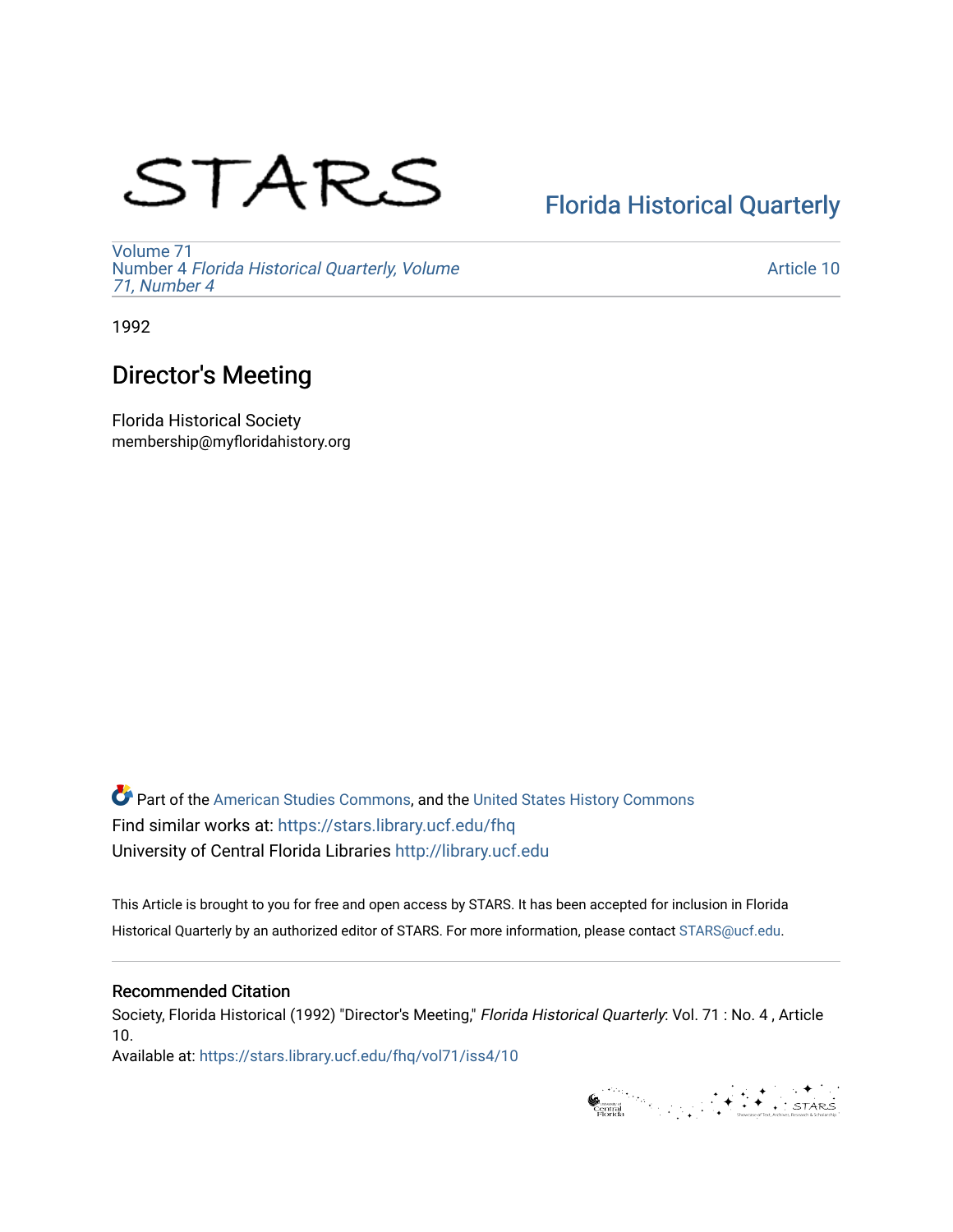# STARS

# [Florida Historical Quarterly](https://stars.library.ucf.edu/fhq)

[Volume 71](https://stars.library.ucf.edu/fhq/vol71) Number 4 [Florida Historical Quarterly, Volume](https://stars.library.ucf.edu/fhq/vol71/iss4)  [71, Number 4](https://stars.library.ucf.edu/fhq/vol71/iss4)

[Article 10](https://stars.library.ucf.edu/fhq/vol71/iss4/10) 

1992

## Director's Meeting

Florida Historical Society membership@myfloridahistory.org

**C** Part of the [American Studies Commons](http://network.bepress.com/hgg/discipline/439?utm_source=stars.library.ucf.edu%2Ffhq%2Fvol71%2Fiss4%2F10&utm_medium=PDF&utm_campaign=PDFCoverPages), and the United States History Commons Find similar works at: <https://stars.library.ucf.edu/fhq> University of Central Florida Libraries [http://library.ucf.edu](http://library.ucf.edu/) 

This Article is brought to you for free and open access by STARS. It has been accepted for inclusion in Florida Historical Quarterly by an authorized editor of STARS. For more information, please contact [STARS@ucf.edu.](mailto:STARS@ucf.edu)

## Recommended Citation

Society, Florida Historical (1992) "Director's Meeting," Florida Historical Quarterly: Vol. 71 : No. 4, Article 10.

Available at: [https://stars.library.ucf.edu/fhq/vol71/iss4/10](https://stars.library.ucf.edu/fhq/vol71/iss4/10?utm_source=stars.library.ucf.edu%2Ffhq%2Fvol71%2Fiss4%2F10&utm_medium=PDF&utm_campaign=PDFCoverPages)

 $\begin{picture}(130,10) \put(0,0){\line(1,0){100}} \put(15,0){\line(1,0){100}} \put(15,0){\line(1,0){100}} \put(15,0){\line(1,0){100}} \put(15,0){\line(1,0){100}} \put(15,0){\line(1,0){100}} \put(15,0){\line(1,0){100}} \put(15,0){\line(1,0){100}} \put(15,0){\line(1,0){100}} \put(15,0){\line(1,0){100}} \put(15,0){\line(1,0){100}}$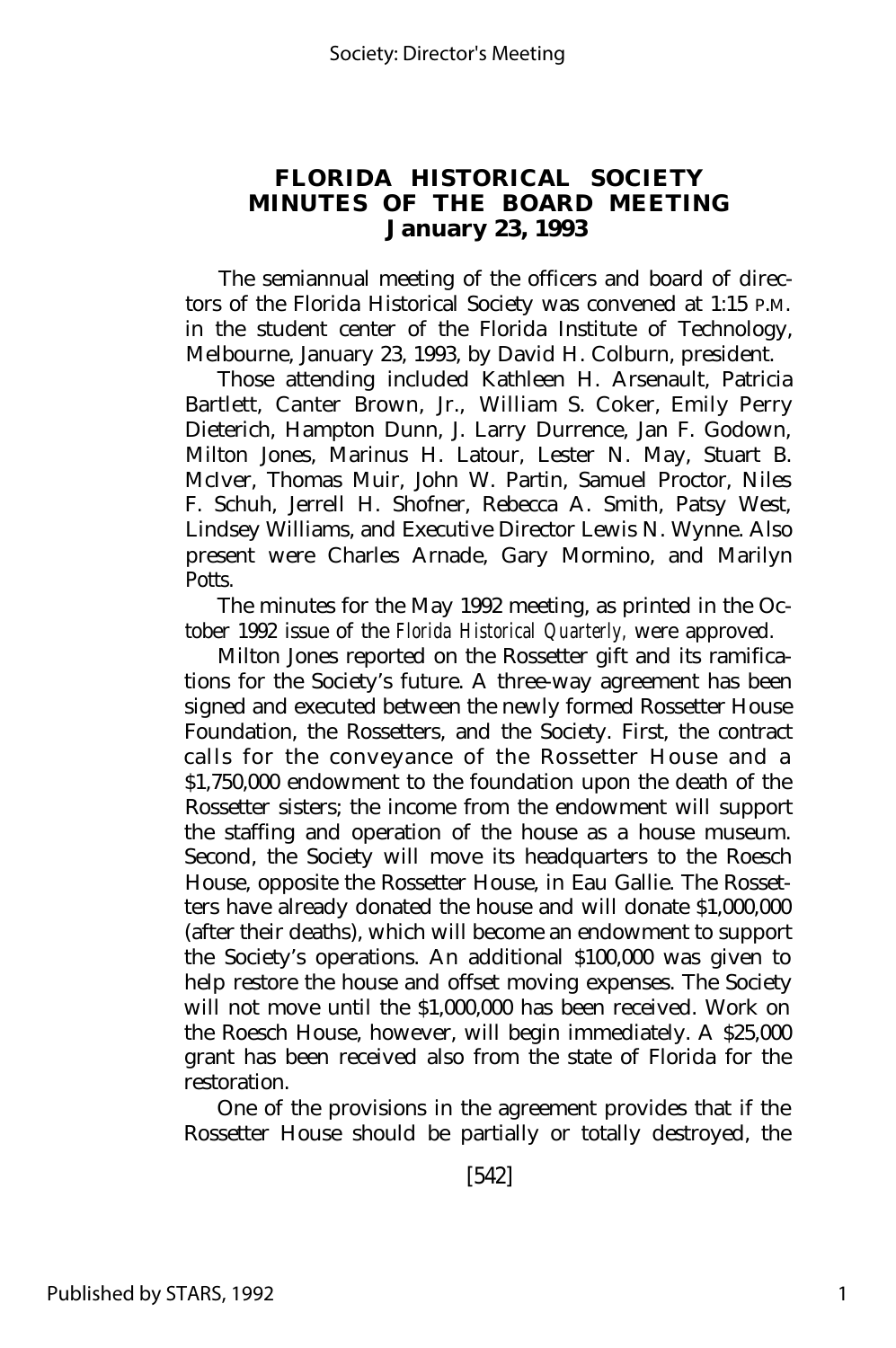### **FLORIDA HISTORICAL SOCIETY MINUTES OF THE BOARD MEETING January 23, 1993**

The semiannual meeting of the officers and board of directors of the Florida Historical Society was convened at 1:15 P.M. in the student center of the Florida Institute of Technology, Melbourne, January 23, 1993, by David H. Colburn, president.

Those attending included Kathleen H. Arsenault, Patricia Bartlett, Canter Brown, Jr., William S. Coker, Emily Perry Dieterich, Hampton Dunn, J. Larry Durrence, Jan F. Godown, Milton Jones, Marinus H. Latour, Lester N. May, Stuart B. McIver, Thomas Muir, John W. Partin, Samuel Proctor, Niles F. Schuh, Jerrell H. Shofner, Rebecca A. Smith, Patsy West, Lindsey Williams, and Executive Director Lewis N. Wynne. Also present were Charles Arnade, Gary Mormino, and Marilyn Potts.

The minutes for the May 1992 meeting, as printed in the October 1992 issue of the *Florida Historical Quarterly,* were approved.

Milton Jones reported on the Rossetter gift and its ramifications for the Society's future. A three-way agreement has been signed and executed between the newly formed Rossetter House Foundation, the Rossetters, and the Society. First, the contract calls for the conveyance of the Rossetter House and a \$1,750,000 endowment to the foundation upon the death of the Rossetter sisters; the income from the endowment will support the staffing and operation of the house as a house museum. Second, the Society will move its headquarters to the Roesch House, opposite the Rossetter House, in Eau Gallie. The Rossetters have already donated the house and will donate \$1,000,000 (after their deaths), which will become an endowment to support the Society's operations. An additional \$100,000 was given to help restore the house and offset moving expenses. The Society will not move until the \$1,000,000 has been received. Work on the Roesch House, however, will begin immediately. A \$25,000 grant has been received also from the state of Florida for the restoration.

One of the provisions in the agreement provides that if the Rossetter House should be partially or totally destroyed, the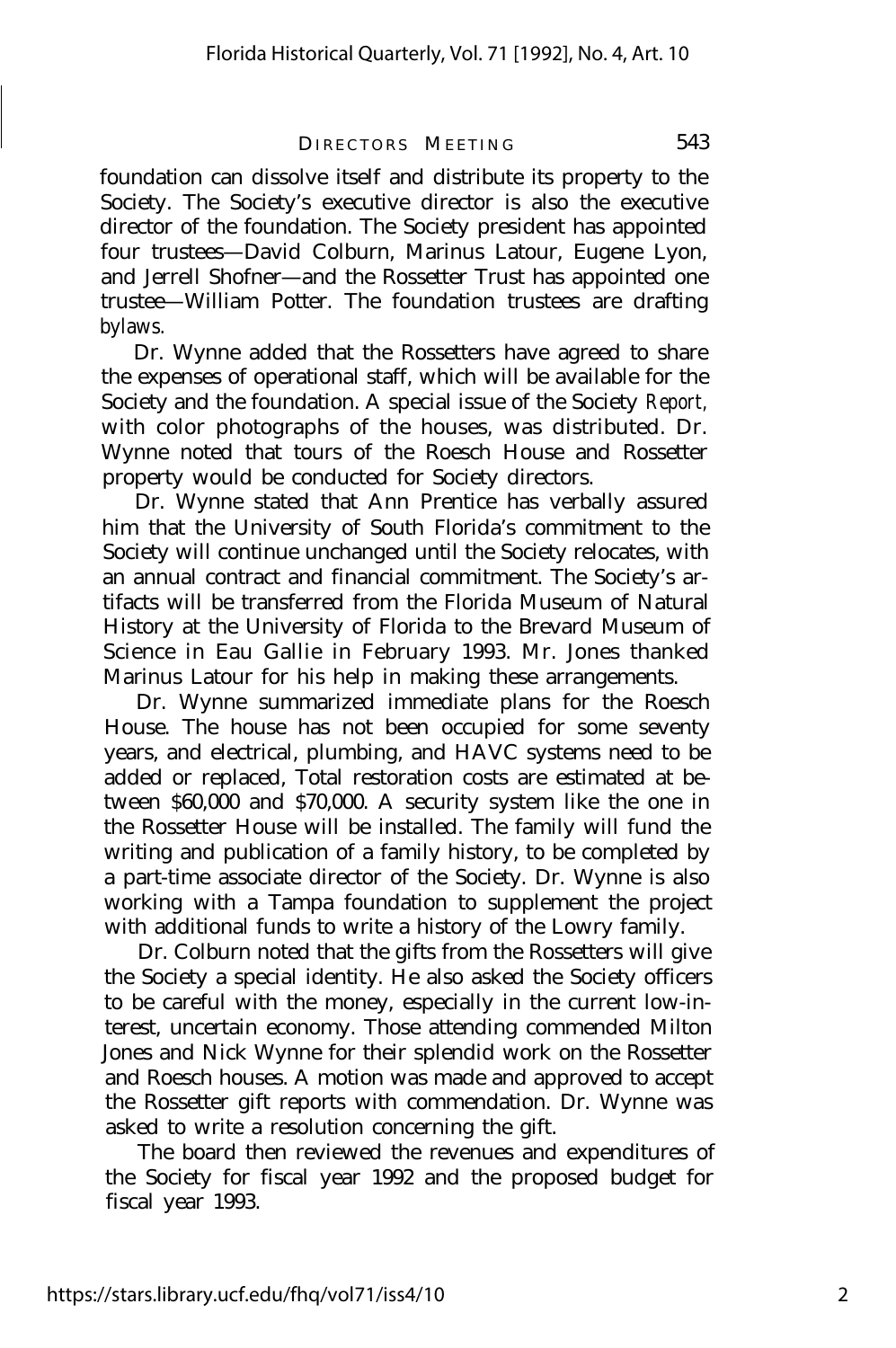#### DIRECTORS MEETING 543

foundation can dissolve itself and distribute its property to the Society. The Society's executive director is also the executive director of the foundation. The Society president has appointed four trustees— David Colburn, Marinus Latour, Eugene Lyon, and Jerrell Shofner— and the Rossetter Trust has appointed one trustee— William Potter. The foundation trustees are drafting bylaws.

Dr. Wynne added that the Rossetters have agreed to share the expenses of operational staff, which will be available for the Society and the foundation. A special issue of the Society *Report,* with color photographs of the houses, was distributed. Dr. Wynne noted that tours of the Roesch House and Rossetter property would be conducted for Society directors.

Dr. Wynne stated that Ann Prentice has verbally assured him that the University of South Florida's commitment to the Society will continue unchanged until the Society relocates, with an annual contract and financial commitment. The Society's artifacts will be transferred from the Florida Museum of Natural History at the University of Florida to the Brevard Museum of Science in Eau Gallie in February 1993. Mr. Jones thanked Marinus Latour for his help in making these arrangements.

Dr. Wynne summarized immediate plans for the Roesch House. The house has not been occupied for some seventy years, and electrical, plumbing, and HAVC systems need to be added or replaced, Total restoration costs are estimated at between \$60,000 and \$70,000. A security system like the one in the Rossetter House will be installed. The family will fund the writing and publication of a family history, to be completed by a part-time associate director of the Society. Dr. Wynne is also working with a Tampa foundation to supplement the project with additional funds to write a history of the Lowry family.

Dr. Colburn noted that the gifts from the Rossetters will give the Society a special identity. He also asked the Society officers to be careful with the money, especially in the current low-interest, uncertain economy. Those attending commended Milton Jones and Nick Wynne for their splendid work on the Rossetter and Roesch houses. A motion was made and approved to accept the Rossetter gift reports with commendation. Dr. Wynne was asked to write a resolution concerning the gift.

The board then reviewed the revenues and expenditures of the Society for fiscal year 1992 and the proposed budget for fiscal year 1993.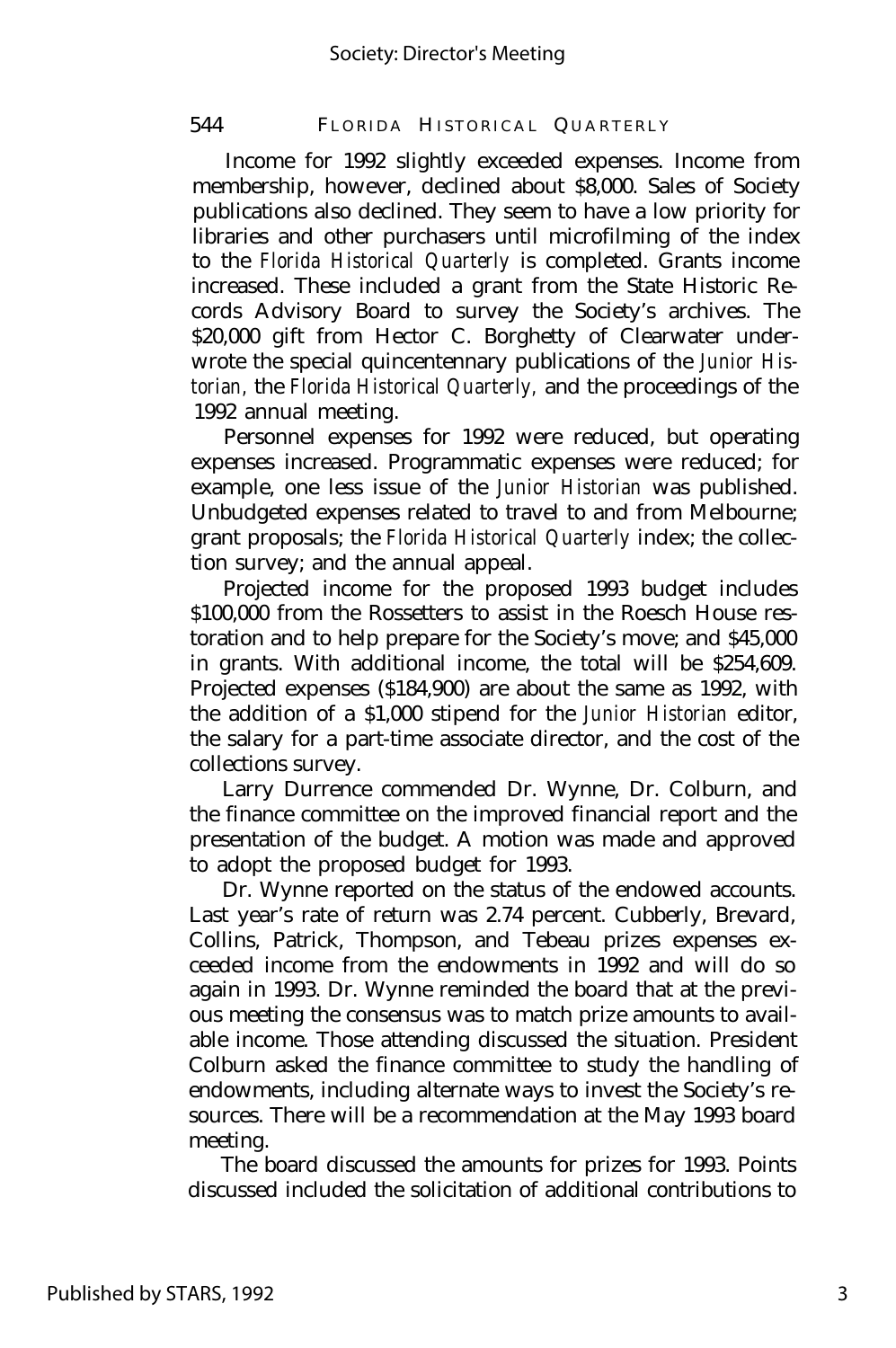#### 544 FLORIDA HISTORICAL QUARTERLY

Income for 1992 slightly exceeded expenses. Income from membership, however, declined about \$8,000. Sales of Society publications also declined. They seem to have a low priority for libraries and other purchasers until microfilming of the index to the *Florida Historical Quarterly* is completed. Grants income increased. These included a grant from the State Historic Records Advisory Board to survey the Society's archives. The \$20,000 gift from Hector C. Borghetty of Clearwater underwrote the special quincentennary publications of the *Junior Historian,* the *Florida Historical Quarterly,* and the proceedings of the 1992 annual meeting.

Personnel expenses for 1992 were reduced, but operating expenses increased. Programmatic expenses were reduced; for example, one less issue of the *Junior Historian* was published. Unbudgeted expenses related to travel to and from Melbourne; grant proposals; the *Florida Historical Quarterly* index; the collection survey; and the annual appeal.

Projected income for the proposed 1993 budget includes \$100,000 from the Rossetters to assist in the Roesch House restoration and to help prepare for the Society's move; and \$45,000 in grants. With additional income, the total will be \$254,609. Projected expenses (\$184,900) are about the same as 1992, with the addition of a \$1,000 stipend for the *Junior Historian* editor, the salary for a part-time associate director, and the cost of the collections survey.

Larry Durrence commended Dr. Wynne, Dr. Colburn, and the finance committee on the improved financial report and the presentation of the budget. A motion was made and approved to adopt the proposed budget for 1993.

Dr. Wynne reported on the status of the endowed accounts. Last year's rate of return was 2.74 percent. Cubberly, Brevard, Collins, Patrick, Thompson, and Tebeau prizes expenses exceeded income from the endowments in 1992 and will do so again in 1993. Dr. Wynne reminded the board that at the previous meeting the consensus was to match prize amounts to available income. Those attending discussed the situation. President Colburn asked the finance committee to study the handling of endowments, including alternate ways to invest the Society's resources. There will be a recommendation at the May 1993 board meeting.

The board discussed the amounts for prizes for 1993. Points discussed included the solicitation of additional contributions to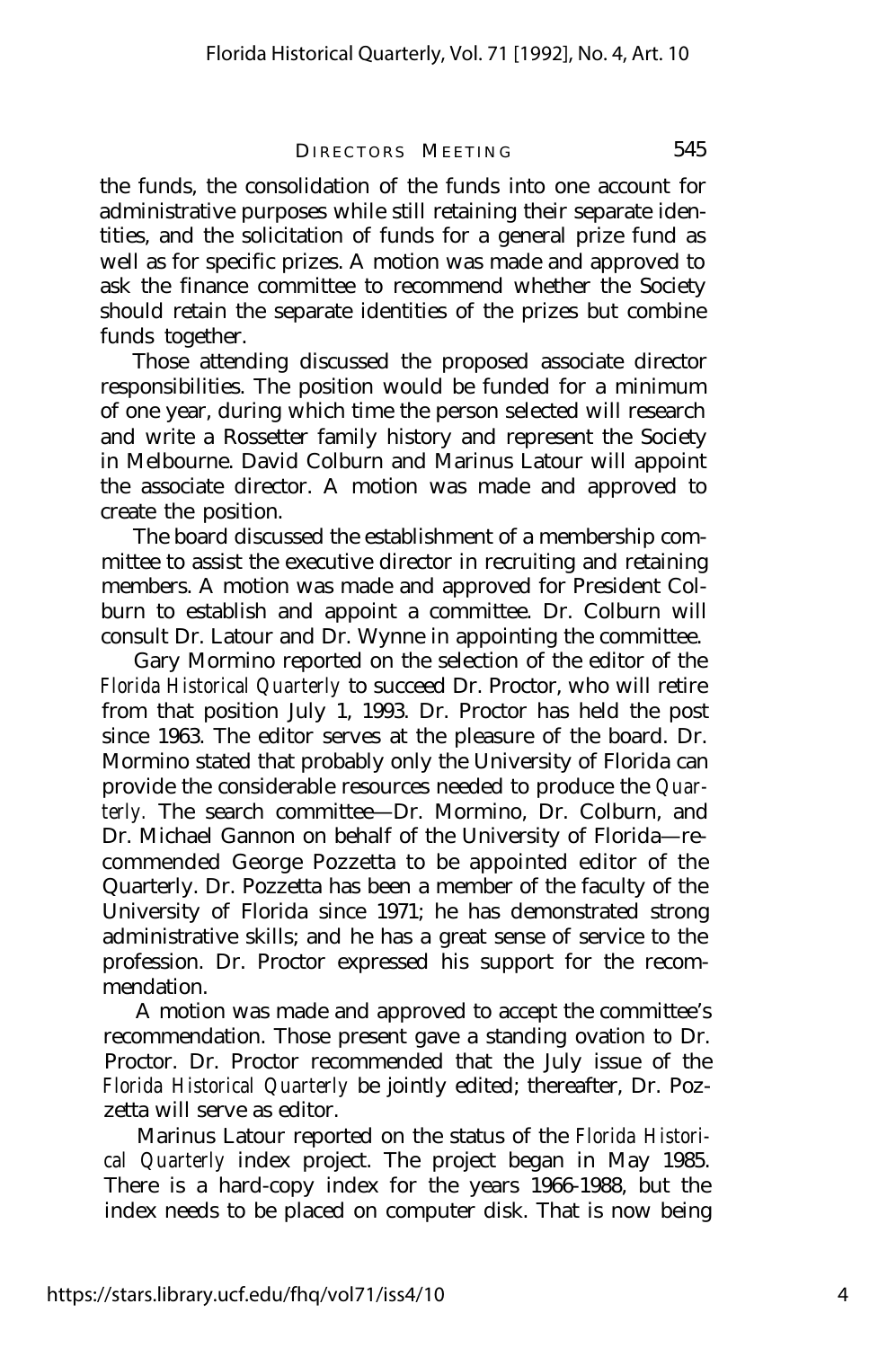#### DIRECTORS MEETING 545

the funds, the consolidation of the funds into one account for administrative purposes while still retaining their separate identities, and the solicitation of funds for a general prize fund as well as for specific prizes. A motion was made and approved to ask the finance committee to recommend whether the Society should retain the separate identities of the prizes but combine funds together.

Those attending discussed the proposed associate director responsibilities. The position would be funded for a minimum of one year, during which time the person selected will research and write a Rossetter family history and represent the Society in Melbourne. David Colburn and Marinus Latour will appoint the associate director. A motion was made and approved to create the position.

The board discussed the establishment of a membership committee to assist the executive director in recruiting and retaining members. A motion was made and approved for President Colburn to establish and appoint a committee. Dr. Colburn will consult Dr. Latour and Dr. Wynne in appointing the committee.

Gary Mormino reported on the selection of the editor of the *Florida Historical Quarterly* to succeed Dr. Proctor, who will retire from that position July 1, 1993. Dr. Proctor has held the post since 1963. The editor serves at the pleasure of the board. Dr. Mormino stated that probably only the University of Florida can provide the considerable resources needed to produce the *Quarterly.* The search committee— Dr. Mormino, Dr. Colburn, and Dr. Michael Gannon on behalf of the University of Florida— recommended George Pozzetta to be appointed editor of the Quarterly. Dr. Pozzetta has been a member of the faculty of the University of Florida since 1971; he has demonstrated strong administrative skills; and he has a great sense of service to the profession. Dr. Proctor expressed his support for the recommendation.

A motion was made and approved to accept the committee's recommendation. Those present gave a standing ovation to Dr. Proctor. Dr. Proctor recommended that the July issue of the *Florida Historical Quarterly* be jointly edited; thereafter, Dr. Pozzetta will serve as editor.

Marinus Latour reported on the status of the *Florida Historical Quarterly* index project. The project began in May 1985. There is a hard-copy index for the years 1966-1988, but the index needs to be placed on computer disk. That is now being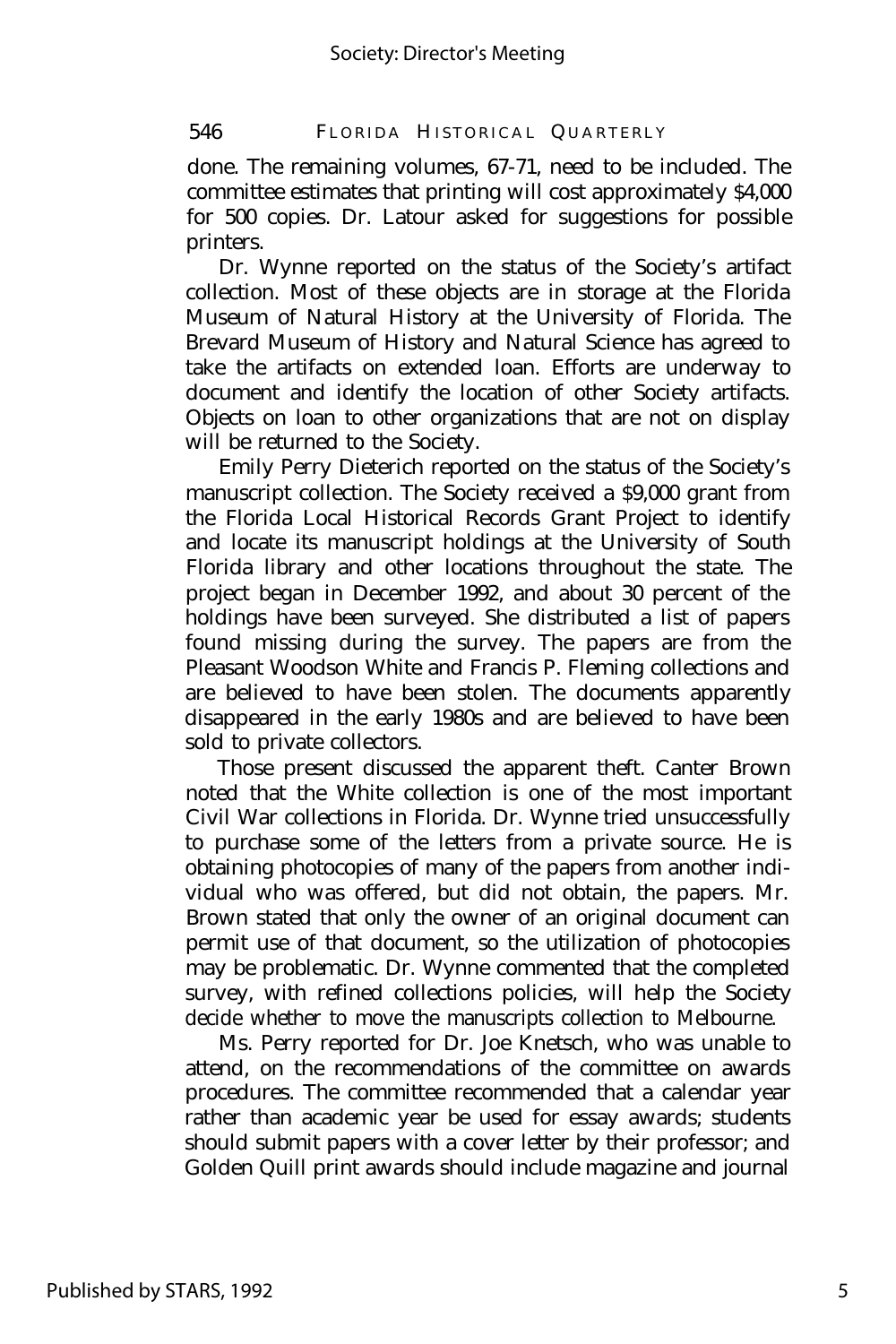#### 546 FLORIDA HISTORICAL QUARTERLY

done. The remaining volumes, 67-71, need to be included. The committee estimates that printing will cost approximately \$4,000 for 500 copies. Dr. Latour asked for suggestions for possible printers.

Dr. Wynne reported on the status of the Society's artifact collection. Most of these objects are in storage at the Florida Museum of Natural History at the University of Florida. The Brevard Museum of History and Natural Science has agreed to take the artifacts on extended loan. Efforts are underway to document and identify the location of other Society artifacts. Objects on loan to other organizations that are not on display will be returned to the Society.

Emily Perry Dieterich reported on the status of the Society's manuscript collection. The Society received a \$9,000 grant from the Florida Local Historical Records Grant Project to identify and locate its manuscript holdings at the University of South Florida library and other locations throughout the state. The project began in December 1992, and about 30 percent of the holdings have been surveyed. She distributed a list of papers found missing during the survey. The papers are from the Pleasant Woodson White and Francis P. Fleming collections and are believed to have been stolen. The documents apparently disappeared in the early 1980s and are believed to have been sold to private collectors.

Those present discussed the apparent theft. Canter Brown noted that the White collection is one of the most important Civil War collections in Florida. Dr. Wynne tried unsuccessfully to purchase some of the letters from a private source. He is obtaining photocopies of many of the papers from another individual who was offered, but did not obtain, the papers. Mr. Brown stated that only the owner of an original document can permit use of that document, so the utilization of photocopies may be problematic. Dr. Wynne commented that the completed survey, with refined collections policies, will help the Society decide whether to move the manuscripts collection to Melbourne.

Ms. Perry reported for Dr. Joe Knetsch, who was unable to attend, on the recommendations of the committee on awards procedures. The committee recommended that a calendar year rather than academic year be used for essay awards; students should submit papers with a cover letter by their professor; and Golden Quill print awards should include magazine and journal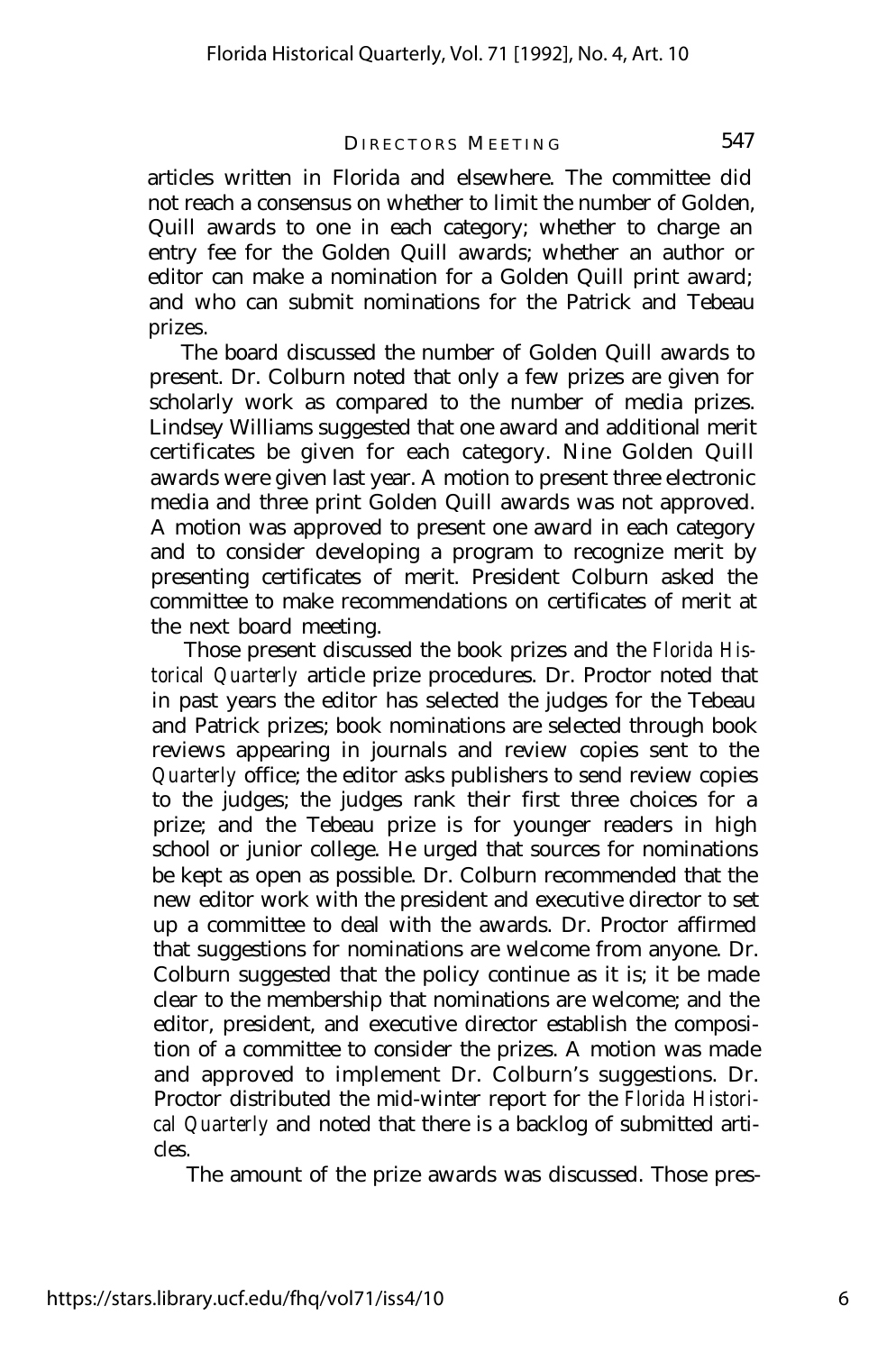#### DIRECTORS MEETING 547

articles written in Florida and elsewhere. The committee did not reach a consensus on whether to limit the number of Golden, Quill awards to one in each category; whether to charge an entry fee for the Golden Quill awards; whether an author or editor can make a nomination for a Golden Quill print award; and who can submit nominations for the Patrick and Tebeau prizes.

The board discussed the number of Golden Quill awards to present. Dr. Colburn noted that only a few prizes are given for scholarly work as compared to the number of media prizes. Lindsey Williams suggested that one award and additional merit certificates be given for each category. Nine Golden Quill awards were given last year. A motion to present three electronic media and three print Golden Quill awards was not approved. A motion was approved to present one award in each category and to consider developing a program to recognize merit by presenting certificates of merit. President Colburn asked the committee to make recommendations on certificates of merit at the next board meeting.

Those present discussed the book prizes and the *Florida Historical Quarterly* article prize procedures. Dr. Proctor noted that in past years the editor has selected the judges for the Tebeau and Patrick prizes; book nominations are selected through book reviews appearing in journals and review copies sent to the *Quarterly* office; the editor asks publishers to send review copies to the judges; the judges rank their first three choices for a prize; and the Tebeau prize is for younger readers in high school or junior college. He urged that sources for nominations be kept as open as possible. Dr. Colburn recommended that the new editor work with the president and executive director to set up a committee to deal with the awards. Dr. Proctor affirmed that suggestions for nominations are welcome from anyone. Dr. Colburn suggested that the policy continue as it is; it be made clear to the membership that nominations are welcome; and the editor, president, and executive director establish the composition of a committee to consider the prizes. A motion was made and approved to implement Dr. Colburn's suggestions. Dr. Proctor distributed the mid-winter report for the *Florida Historical Quarterly* and noted that there is a backlog of submitted articles.

The amount of the prize awards was discussed. Those pres-